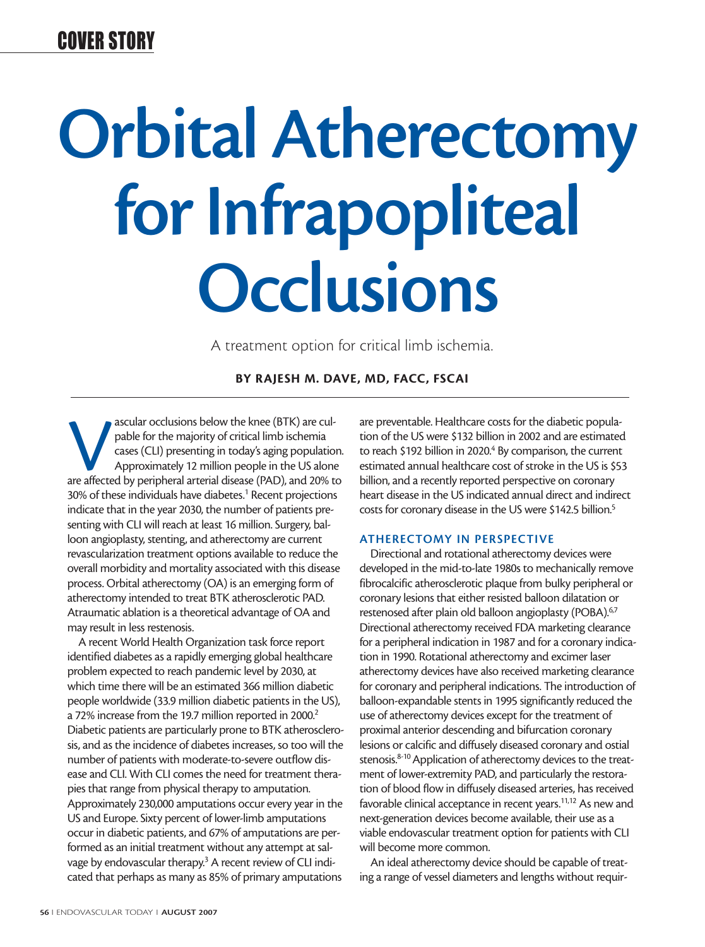### COVER STORY

# **Orbital Atherectomy for Infrapopliteal Occlusions**

A treatment option for critical limb ischemia.

**BY RAJESH M. DAVE, MD, FACC, FSCAI**

ascular occlusions below the knee (BTK) are culpable for the majority of critical limb ischemia<br>cases (CLI) presenting in today's aging population<br>Approximately 12 million people in the US alone<br>are affected by peripheral pable for the majority of critical limb ischemia cases (CLI) presenting in today's aging population. Approximately 12 million people in the US alone 30% of these individuals have diabetes.<sup>1</sup> Recent projections indicate that in the year 2030, the number of patients presenting with CLI will reach at least 16 million. Surgery, balloon angioplasty, stenting, and atherectomy are current revascularization treatment options available to reduce the overall morbidity and mortality associated with this disease process. Orbital atherectomy (OA) is an emerging form of atherectomy intended to treat BTK atherosclerotic PAD. Atraumatic ablation is a theoretical advantage of OA and may result in less restenosis.

A recent World Health Organization task force report identified diabetes as a rapidly emerging global healthcare problem expected to reach pandemic level by 2030, at which time there will be an estimated 366 million diabetic people worldwide (33.9 million diabetic patients in the US), a 72% increase from the 19.7 million reported in 2000.<sup>2</sup> Diabetic patients are particularly prone to BTK atherosclerosis, and as the incidence of diabetes increases, so too will the number of patients with moderate-to-severe outflow disease and CLI. With CLI comes the need for treatment therapies that range from physical therapy to amputation. Approximately 230,000 amputations occur every year in the US and Europe. Sixty percent of lower-limb amputations occur in diabetic patients, and 67% of amputations are performed as an initial treatment without any attempt at salvage by endovascular therapy.<sup>3</sup> A recent review of CLI indicated that perhaps as many as 85% of primary amputations

are preventable. Healthcare costs for the diabetic population of the US were \$132 billion in 2002 and are estimated to reach \$192 billion in 2020.<sup>4</sup> By comparison, the current estimated annual healthcare cost of stroke in the US is \$53 billion, and a recently reported perspective on coronary heart disease in the US indicated annual direct and indirect costs for coronary disease in the US were \$142.5 billion.<sup>5</sup>

#### **ATHERECTOMY IN PERSPECTIVE**

Directional and rotational atherectomy devices were developed in the mid-to-late 1980s to mechanically remove fibrocalcific atherosclerotic plaque from bulky peripheral or coronary lesions that either resisted balloon dilatation or restenosed after plain old balloon angioplasty (POBA).<sup>6,7</sup> Directional atherectomy received FDA marketing clearance for a peripheral indication in 1987 and for a coronary indication in 1990. Rotational atherectomy and excimer laser atherectomy devices have also received marketing clearance for coronary and peripheral indications. The introduction of balloon-expandable stents in 1995 significantly reduced the use of atherectomy devices except for the treatment of proximal anterior descending and bifurcation coronary lesions or calcific and diffusely diseased coronary and ostial stenosis.<sup>8-10</sup> Application of atherectomy devices to the treatment of lower-extremity PAD, and particularly the restoration of blood flow in diffusely diseased arteries, has received favorable clinical acceptance in recent years.<sup>11,12</sup> As new and next-generation devices become available, their use as a viable endovascular treatment option for patients with CLI will become more common.

An ideal atherectomy device should be capable of treating a range of vessel diameters and lengths without requir-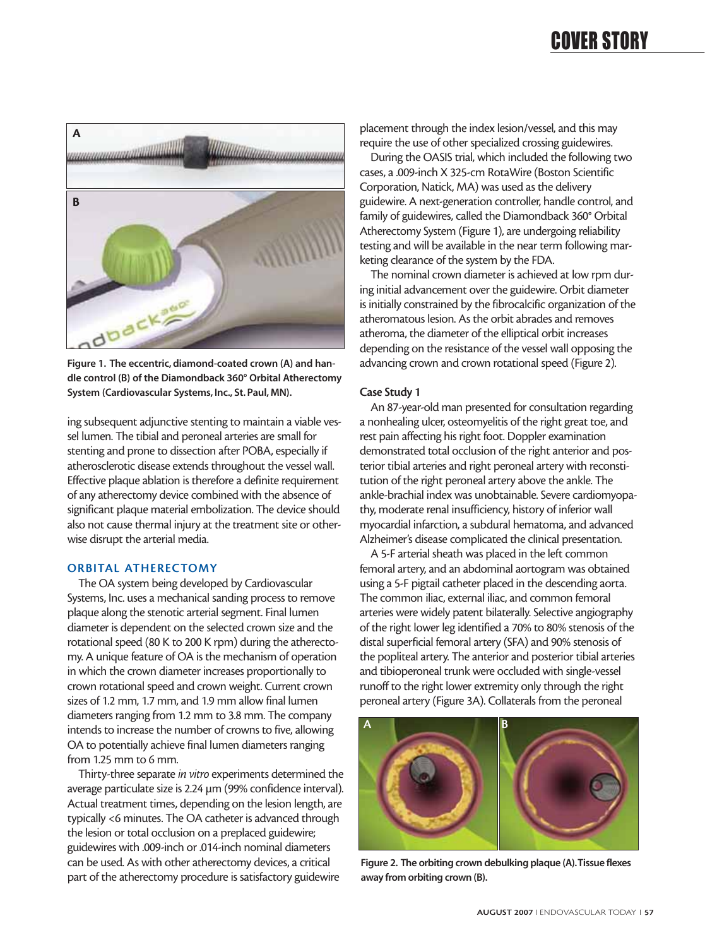# COVER STORY



**Figure 1. The eccentric, diamond-coated crown (A) and handle control (B) of the Diamondback 360° Orbital Atherectomy System (Cardiovascular Systems, Inc., St. Paul, MN).**

ing subsequent adjunctive stenting to maintain a viable vessel lumen. The tibial and peroneal arteries are small for stenting and prone to dissection after POBA, especially if atherosclerotic disease extends throughout the vessel wall. Effective plaque ablation is therefore a definite requirement of any atherectomy device combined with the absence of significant plaque material embolization. The device should also not cause thermal injury at the treatment site or otherwise disrupt the arterial media.

#### **ORBITAL ATHERECTOMY**

The OA system being developed by Cardiovascular Systems, Inc. uses a mechanical sanding process to remove plaque along the stenotic arterial segment. Final lumen diameter is dependent on the selected crown size and the rotational speed (80 K to 200 K rpm) during the atherectomy. A unique feature of OA is the mechanism of operation in which the crown diameter increases proportionally to crown rotational speed and crown weight. Current crown sizes of 1.2 mm, 1.7 mm, and 1.9 mm allow final lumen diameters ranging from 1.2 mm to 3.8 mm. The company intends to increase the number of crowns to five, allowing OA to potentially achieve final lumen diameters ranging from 1.25 mm to 6 mm.

Thirty-three separate *in vitro* experiments determined the average particulate size is 2.24 µm (99% confidence interval). Actual treatment times, depending on the lesion length, are typically <6 minutes. The OA catheter is advanced through the lesion or total occlusion on a preplaced guidewire; guidewires with .009-inch or .014-inch nominal diameters can be used. As with other atherectomy devices, a critical part of the atherectomy procedure is satisfactory guidewire

placement through the index lesion/vessel, and this may require the use of other specialized crossing guidewires.

During the OASIS trial, which included the following two cases, a .009-inch X 325-cm RotaWire (Boston Scientific Corporation, Natick, MA) was used as the delivery guidewire. A next-generation controller, handle control, and family of guidewires, called the Diamondback 360° Orbital Atherectomy System (Figure 1), are undergoing reliability testing and will be available in the near term following marketing clearance of the system by the FDA.

The nominal crown diameter is achieved at low rpm during initial advancement over the guidewire. Orbit diameter is initially constrained by the fibrocalcific organization of the atheromatous lesion. As the orbit abrades and removes atheroma, the diameter of the elliptical orbit increases depending on the resistance of the vessel wall opposing the advancing crown and crown rotational speed (Figure 2).

#### **Case Study 1**

An 87-year-old man presented for consultation regarding a nonhealing ulcer, osteomyelitis of the right great toe, and rest pain affecting his right foot. Doppler examination demonstrated total occlusion of the right anterior and posterior tibial arteries and right peroneal artery with reconstitution of the right peroneal artery above the ankle. The ankle-brachial index was unobtainable. Severe cardiomyopathy, moderate renal insufficiency, history of inferior wall myocardial infarction, a subdural hematoma, and advanced Alzheimer's disease complicated the clinical presentation.

A 5-F arterial sheath was placed in the left common femoral artery, and an abdominal aortogram was obtained using a 5-F pigtail catheter placed in the descending aorta. The common iliac, external iliac, and common femoral arteries were widely patent bilaterally. Selective angiography of the right lower leg identified a 70% to 80% stenosis of the distal superficial femoral artery (SFA) and 90% stenosis of the popliteal artery. The anterior and posterior tibial arteries and tibioperoneal trunk were occluded with single-vessel runoff to the right lower extremity only through the right peroneal artery (Figure 3A). Collaterals from the peroneal



**Figure 2. The orbiting crown debulking plaque (A).Tissue flexes away from orbiting crown (B).**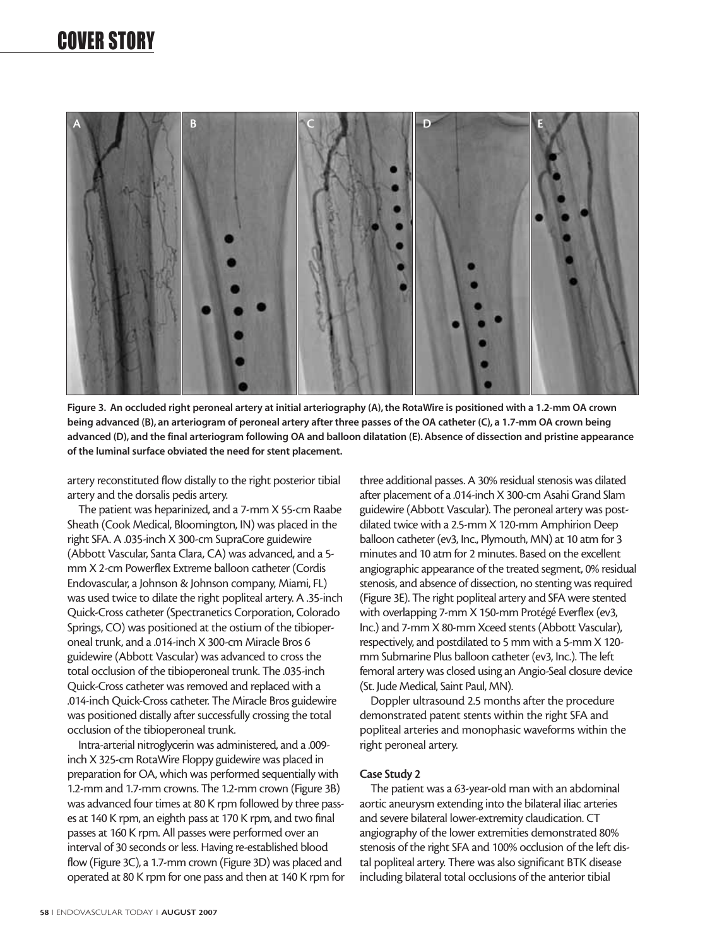

**Figure 3. An occluded right peroneal artery at initial arteriography (A), the RotaWire is positioned with a 1.2-mm OA crown being advanced (B), an arteriogram of peroneal artery after three passes of the OA catheter (C), a 1.7-mm OA crown being advanced (D), and the final arteriogram following OA and balloon dilatation (E). Absence of dissection and pristine appearance of the luminal surface obviated the need for stent placement.**

artery reconstituted flow distally to the right posterior tibial artery and the dorsalis pedis artery.

The patient was heparinized, and a 7-mm X 55-cm Raabe Sheath (Cook Medical, Bloomington, IN) was placed in the right SFA. A .035-inch X 300-cm SupraCore guidewire (Abbott Vascular, Santa Clara, CA) was advanced, and a 5 mm X 2-cm Powerflex Extreme balloon catheter (Cordis Endovascular, a Johnson & Johnson company, Miami, FL) was used twice to dilate the right popliteal artery. A .35-inch Quick-Cross catheter (Spectranetics Corporation, Colorado Springs, CO) was positioned at the ostium of the tibioperoneal trunk, and a .014-inch X 300-cm Miracle Bros 6 guidewire (Abbott Vascular) was advanced to cross the total occlusion of the tibioperoneal trunk. The .035-inch Quick-Cross catheter was removed and replaced with a .014-inch Quick-Cross catheter. The Miracle Bros guidewire was positioned distally after successfully crossing the total occlusion of the tibioperoneal trunk.

Intra-arterial nitroglycerin was administered, and a .009 inch X 325-cm RotaWire Floppy guidewire was placed in preparation for OA, which was performed sequentially with 1.2-mm and 1.7-mm crowns. The 1.2-mm crown (Figure 3B) was advanced four times at 80 K rpm followed by three passes at 140 K rpm, an eighth pass at 170 K rpm, and two final passes at 160 K rpm. All passes were performed over an interval of 30 seconds or less. Having re-established blood flow (Figure 3C), a 1.7-mm crown (Figure 3D) was placed and operated at 80 K rpm for one pass and then at 140 K rpm for three additional passes. A 30% residual stenosis was dilated after placement of a .014-inch X 300-cm Asahi Grand Slam guidewire (Abbott Vascular). The peroneal artery was postdilated twice with a 2.5-mm X 120-mm Amphirion Deep balloon catheter (ev3, Inc., Plymouth, MN) at 10 atm for 3 minutes and 10 atm for 2 minutes. Based on the excellent angiographic appearance of the treated segment, 0% residual stenosis, and absence of dissection, no stenting was required (Figure 3E). The right popliteal artery and SFA were stented with overlapping 7-mm X 150-mm Protégé Everflex (ev3, Inc.) and 7-mm X 80-mm Xceed stents (Abbott Vascular), respectively, and postdilated to 5 mm with a 5-mm X 120 mm Submarine Plus balloon catheter (ev3, Inc.). The left femoral artery was closed using an Angio-Seal closure device (St. Jude Medical, Saint Paul, MN).

Doppler ultrasound 2.5 months after the procedure demonstrated patent stents within the right SFA and popliteal arteries and monophasic waveforms within the right peroneal artery.

#### **Case Study 2**

The patient was a 63-year-old man with an abdominal aortic aneurysm extending into the bilateral iliac arteries and severe bilateral lower-extremity claudication. CT angiography of the lower extremities demonstrated 80% stenosis of the right SFA and 100% occlusion of the left distal popliteal artery. There was also significant BTK disease including bilateral total occlusions of the anterior tibial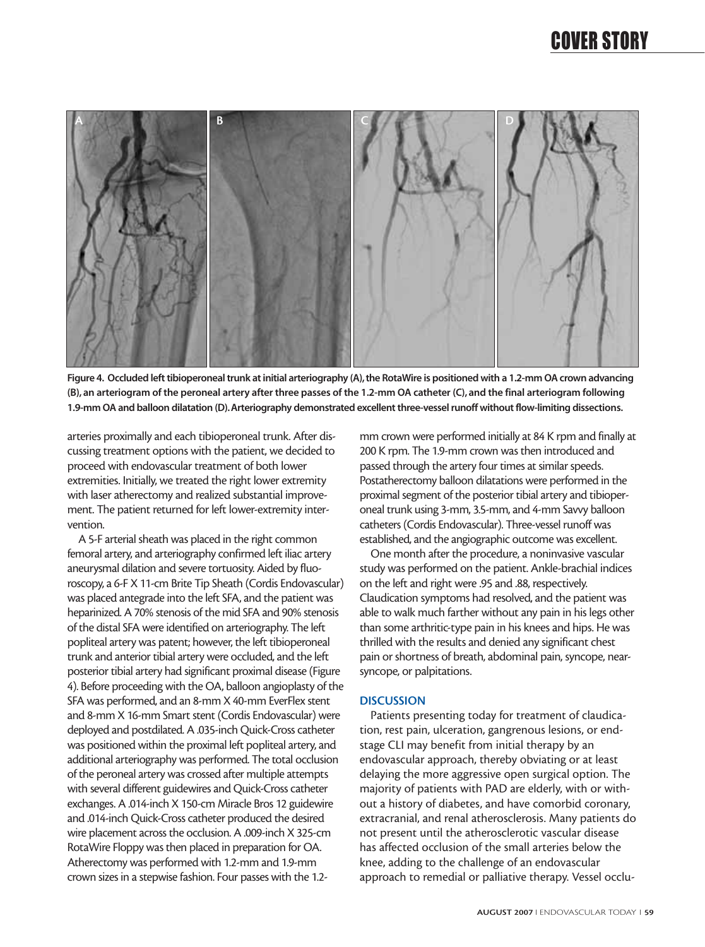

**Figure 4. Occluded left tibioperoneal trunk at initial arteriography (A),the RotaWire is positioned with a 1.2-mm OA crown advancing (B), an arteriogram of the peroneal artery after three passes of the 1.2-mm OA catheter (C), and the final arteriogram following 1.9-mm OA and balloon dilatation (D).Arteriography demonstrated excellent three-vessel runoff without flow-limiting dissections.**

arteries proximally and each tibioperoneal trunk. After discussing treatment options with the patient, we decided to proceed with endovascular treatment of both lower extremities. Initially, we treated the right lower extremity with laser atherectomy and realized substantial improvement. The patient returned for left lower-extremity intervention.

A 5-F arterial sheath was placed in the right common femoral artery, and arteriography confirmed left iliac artery aneurysmal dilation and severe tortuosity. Aided by fluoroscopy, a 6-F X 11-cm Brite Tip Sheath (Cordis Endovascular) was placed antegrade into the left SFA, and the patient was heparinized. A 70% stenosis of the mid SFA and 90% stenosis of the distal SFA were identified on arteriography. The left popliteal artery was patent; however, the left tibioperoneal trunk and anterior tibial artery were occluded, and the left posterior tibial artery had significant proximal disease (Figure 4). Before proceeding with the OA, balloon angioplasty of the SFA was performed, and an 8-mm X 40-mm EverFlex stent and 8-mm X 16-mm Smart stent (Cordis Endovascular) were deployed and postdilated. A .035-inch Quick-Cross catheter was positioned within the proximal left popliteal artery, and additional arteriography was performed. The total occlusion of the peroneal artery was crossed after multiple attempts with several different guidewires and Quick-Cross catheter exchanges. A .014-inch X 150-cm Miracle Bros 12 guidewire and .014-inch Quick-Cross catheter produced the desired wire placement across the occlusion. A .009-inch X 325-cm RotaWire Floppy was then placed in preparation for OA. Atherectomy was performed with 1.2-mm and 1.9-mm crown sizes in a stepwise fashion. Four passes with the 1.2mm crown were performed initially at 84 K rpm and finally at 200 K rpm. The 1.9-mm crown was then introduced and passed through the artery four times at similar speeds. Postatherectomy balloon dilatations were performed in the proximal segment of the posterior tibial artery and tibioperoneal trunk using 3-mm, 3.5-mm, and 4-mm Savvy balloon catheters (Cordis Endovascular). Three-vessel runoff was established, and the angiographic outcome was excellent.

One month after the procedure, a noninvasive vascular study was performed on the patient. Ankle-brachial indices on the left and right were .95 and .88, respectively. Claudication symptoms had resolved, and the patient was able to walk much farther without any pain in his legs other than some arthritic-type pain in his knees and hips. He was thrilled with the results and denied any significant chest pain or shortness of breath, abdominal pain, syncope, nearsyncope, or palpitations.

#### **DISCUSSION**

Patients presenting today for treatment of claudication, rest pain, ulceration, gangrenous lesions, or endstage CLI may benefit from initial therapy by an endovascular approach, thereby obviating or at least delaying the more aggressive open surgical option. The majority of patients with PAD are elderly, with or without a history of diabetes, and have comorbid coronary, extracranial, and renal atherosclerosis. Many patients do not present until the atherosclerotic vascular disease has affected occlusion of the small arteries below the knee, adding to the challenge of an endovascular approach to remedial or palliative therapy. Vessel occlu-